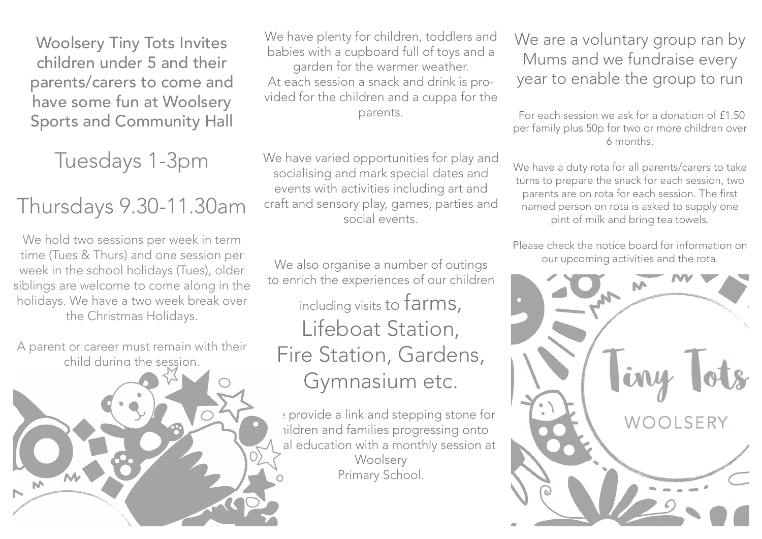Woolsery Tiny Tots Invites children under 5 and their parents/carers to come and have some fun at Woolsery Sports and Community Hall

Tuesdays 1-3pm

## Thursdays 9.30-11.30am

We hold two sessions per week in term time (Tues & Thurs) and one session per week in the school holidays (Tues), older siblings are welcome to come along in the holidays. We have a two week break over the Christmas Holidays.

A parent or career must remain with their child during the session.

We have plenty for children, toddlers and babies with a cupboard full of toys and a garden for the warmer weather. At each session a snack and drink is provided for the children and a cuppa for the parents.

We have varied opportunities for play and socialising and mark special dates and events with activities including art and craft and sensory play, games, parties and social events.

## We also organise a number of outings to enrich the experiences of our children

including visits to farms, Lifeboat Station, Fire Station, Gardens, Gymnasium etc.

We provide a link and stepping stone for ildren and families progressing onto al education with a monthly session at **Woolsery** Primary School.

We are a voluntary group ran by Mums and we fundraise every year to enable the group to run

For each session we ask for a donation of £1.50 per family plus 50p for two or more children over 6 months.

We have a duty rota for all parents/carers to take turns to prepare the snack for each session, two parents are on rota for each session. The first named person on rota is asked to supply one pint of milk and bring tea towels.

Please check the notice board for information on our upcoming activities and the rota.